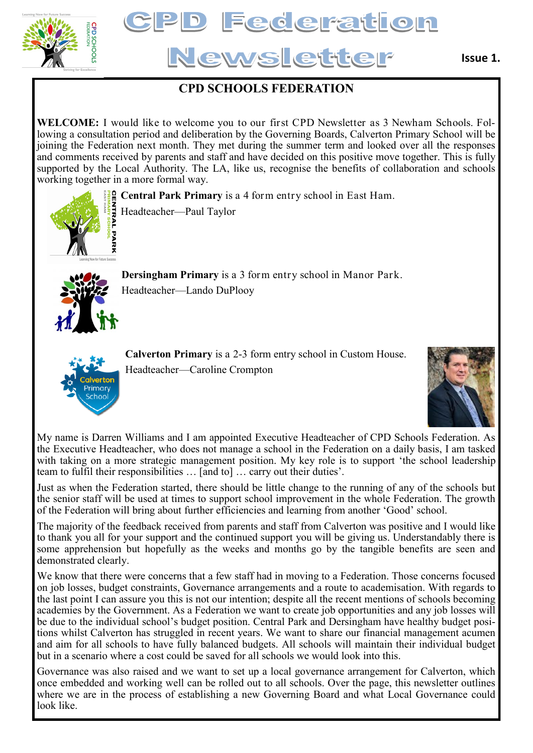



**Issue 1.**

## **CPD SCHOOLS FEDERATION**

**WELCOME:** I would like to welcome you to our first CPD Newsletter as 3 Newham Schools. Following a consultation period and deliberation by the Governing Boards, Calverton Primary School will be joining the Federation next month. They met during the summer term and looked over all the responses and comments received by parents and staff and have decided on this positive move together. This is fully supported by the Local Authority. The LA, like us, recognise the benefits of collaboration and schools working together in a more formal way.

**Central Park Primary** is a 4 form entry school in East Ham.



Headteacher—Paul Taylor

**Dersingham Primary** is a 3 form entry school in Manor Park. Headteacher—Lando DuPlooy



**Calverton Primary** is a 2-3 form entry school in Custom House. Headteacher—Caroline Crompton



My name is Darren Williams and I am appointed Executive Headteacher of CPD Schools Federation. As the Executive Headteacher, who does not manage a school in the Federation on a daily basis, I am tasked with taking on a more strategic management position. My key role is to support 'the school leadership team to fulfil their responsibilities … [and to] … carry out their duties'.

Just as when the Federation started, there should be little change to the running of any of the schools but the senior staff will be used at times to support school improvement in the whole Federation. The growth of the Federation will bring about further efficiencies and learning from another 'Good' school.

The majority of the feedback received from parents and staff from Calverton was positive and I would like to thank you all for your support and the continued support you will be giving us. Understandably there is some apprehension but hopefully as the weeks and months go by the tangible benefits are seen and demonstrated clearly.

We know that there were concerns that a few staff had in moving to a Federation. Those concerns focused on job losses, budget constraints, Governance arrangements and a route to academisation. With regards to the last point I can assure you this is not our intention; despite all the recent mentions of schools becoming academies by the Government. As a Federation we want to create job opportunities and any job losses will be due to the individual school's budget position. Central Park and Dersingham have healthy budget positions whilst Calverton has struggled in recent years. We want to share our financial management acumen and aim for all schools to have fully balanced budgets. All schools will maintain their individual budget but in a scenario where a cost could be saved for all schools we would look into this.

Governance was also raised and we want to set up a local governance arrangement for Calverton, which once embedded and working well can be rolled out to all schools. Over the page, this newsletter outlines where we are in the process of establishing a new Governing Board and what Local Governance could look like.